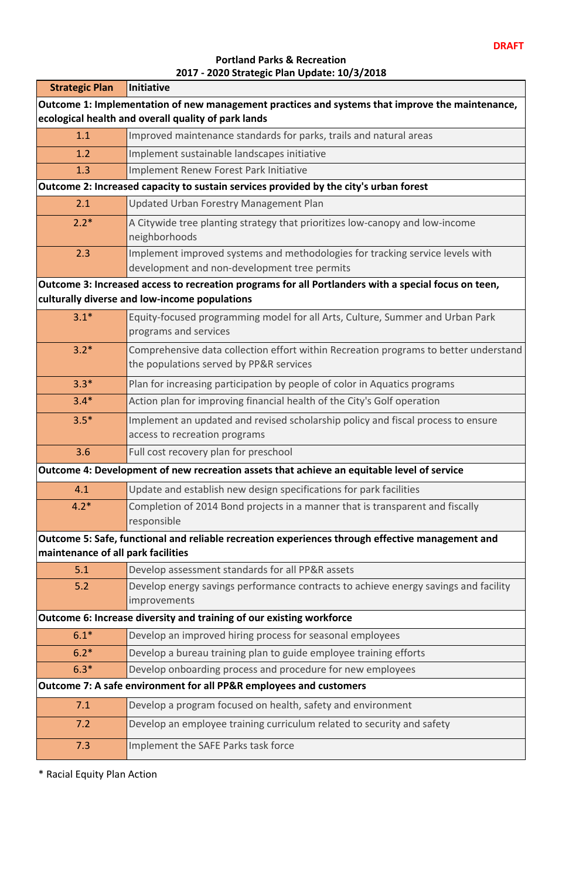| <b>Strategic Plan</b>                                                                                                                                 | Initiative                                                                                                                      |  |
|-------------------------------------------------------------------------------------------------------------------------------------------------------|---------------------------------------------------------------------------------------------------------------------------------|--|
| Outcome 1: Implementation of new management practices and systems that improve the maintenance,                                                       |                                                                                                                                 |  |
| ecological health and overall quality of park lands                                                                                                   |                                                                                                                                 |  |
| 1.1                                                                                                                                                   | Improved maintenance standards for parks, trails and natural areas                                                              |  |
| 1.2                                                                                                                                                   | Implement sustainable landscapes initiative                                                                                     |  |
| 1.3                                                                                                                                                   | Implement Renew Forest Park Initiative                                                                                          |  |
| Outcome 2: Increased capacity to sustain services provided by the city's urban forest                                                                 |                                                                                                                                 |  |
| 2.1                                                                                                                                                   | Updated Urban Forestry Management Plan                                                                                          |  |
| $2.2*$                                                                                                                                                | A Citywide tree planting strategy that prioritizes low-canopy and low-income<br>neighborhoods                                   |  |
| 2.3                                                                                                                                                   | Implement improved systems and methodologies for tracking service levels with<br>development and non-development tree permits   |  |
| Outcome 3: Increased access to recreation programs for all Portlanders with a special focus on teen,<br>culturally diverse and low-income populations |                                                                                                                                 |  |
| $3.1*$                                                                                                                                                | Equity-focused programming model for all Arts, Culture, Summer and Urban Park<br>programs and services                          |  |
| $3.2*$                                                                                                                                                | Comprehensive data collection effort within Recreation programs to better understand<br>the populations served by PP&R services |  |
| $3.3*$                                                                                                                                                | Plan for increasing participation by people of color in Aquatics programs                                                       |  |
| $3.4*$                                                                                                                                                | Action plan for improving financial health of the City's Golf operation                                                         |  |
| $3.5*$                                                                                                                                                | Implement an updated and revised scholarship policy and fiscal process to ensure<br>access to recreation programs               |  |
| 3.6                                                                                                                                                   | Full cost recovery plan for preschool                                                                                           |  |
|                                                                                                                                                       | Outcome 4: Development of new recreation assets that achieve an equitable level of service                                      |  |
| 4.1                                                                                                                                                   | Update and establish new design specifications for park facilities                                                              |  |
| $4.2*$                                                                                                                                                | Completion of 2014 Bond projects in a manner that is transparent and fiscally<br>responsible                                    |  |
| Outcome 5: Safe, functional and reliable recreation experiences through effective management and<br>maintenance of all park facilities                |                                                                                                                                 |  |
| 5.1                                                                                                                                                   | Develop assessment standards for all PP&R assets                                                                                |  |
| 5.2                                                                                                                                                   | Develop energy savings performance contracts to achieve energy savings and facility<br><i>improvements</i>                      |  |
| Outcome 6: Increase diversity and training of our existing workforce                                                                                  |                                                                                                                                 |  |
| $6.1*$                                                                                                                                                | Develop an improved hiring process for seasonal employees                                                                       |  |

\* Racial Equity Plan Action

| <b>Portland Parks &amp; Recreation</b>       |
|----------------------------------------------|
| 2017 - 2020 Strategic Plan Update: 10/3/2018 |

| $6.2*$                                                             | Develop a bureau training plan to guide employee training efforts      |  |
|--------------------------------------------------------------------|------------------------------------------------------------------------|--|
| $6.3*$                                                             | Develop onboarding process and procedure for new employees             |  |
| Outcome 7: A safe environment for all PP&R employees and customers |                                                                        |  |
| 7.1                                                                | Develop a program focused on health, safety and environment            |  |
| 7.2                                                                | Develop an employee training curriculum related to security and safety |  |
| 7.3                                                                | Implement the SAFE Parks task force                                    |  |